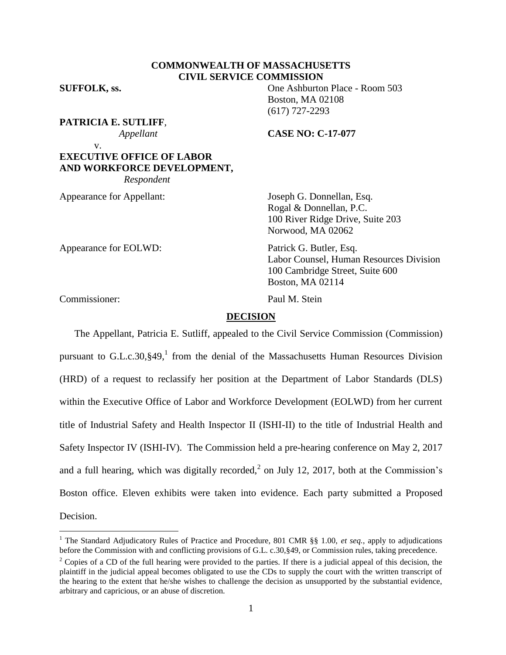# **COMMONWEALTH OF MASSACHUSETTS CIVIL SERVICE COMMISSION**

**SUFFOLK, ss.** One Ashburton Place - Room 503

**PATRICIA E. SUTLIFF**,

 *Appellant* **CASE NO: C-17-077**

Boston, MA 02108 (617) 727-2293

v. **EXECUTIVE OFFICE OF LABOR AND WORKFORCE DEVELOPMENT,**  *Respondent*

Appearance for Appellant: Joseph G. Donnellan, Esq. Rogal & Donnellan, P.C. 100 River Ridge Drive, Suite 203 Norwood, MA 02062

Appearance for EOLWD: Patrick G. Butler, Esq. Labor Counsel, Human Resources Division 100 Cambridge Street, Suite 600 Boston, MA 02114

Commissioner: Paul M. Stein

 $\overline{a}$ 

# **DECISION**

The Appellant, Patricia E. Sutliff, appealed to the Civil Service Commission (Commission) pursuant to G.L.c.30, §49,<sup>1</sup> from the denial of the Massachusetts Human Resources Division (HRD) of a request to reclassify her position at the Department of Labor Standards (DLS) within the Executive Office of Labor and Workforce Development (EOLWD) from her current title of Industrial Safety and Health Inspector II (ISHI-II) to the title of Industrial Health and Safety Inspector IV (ISHI-IV). The Commission held a pre-hearing conference on May 2, 2017 and a full hearing, which was digitally recorded,<sup>2</sup> on July 12, 2017, both at the Commission's Boston office. Eleven exhibits were taken into evidence. Each party submitted a Proposed Decision.

<sup>&</sup>lt;sup>1</sup> The Standard Adjudicatory Rules of Practice and Procedure, 801 CMR §§ 1.00, *et seq.*, apply to adjudications before the Commission with and conflicting provisions of G.L. c.30,§49, or Commission rules, taking precedence.

<sup>&</sup>lt;sup>2</sup> Copies of a CD of the full hearing were provided to the parties. If there is a judicial appeal of this decision, the plaintiff in the judicial appeal becomes obligated to use the CDs to supply the court with the written transcript of the hearing to the extent that he/she wishes to challenge the decision as unsupported by the substantial evidence, arbitrary and capricious, or an abuse of discretion.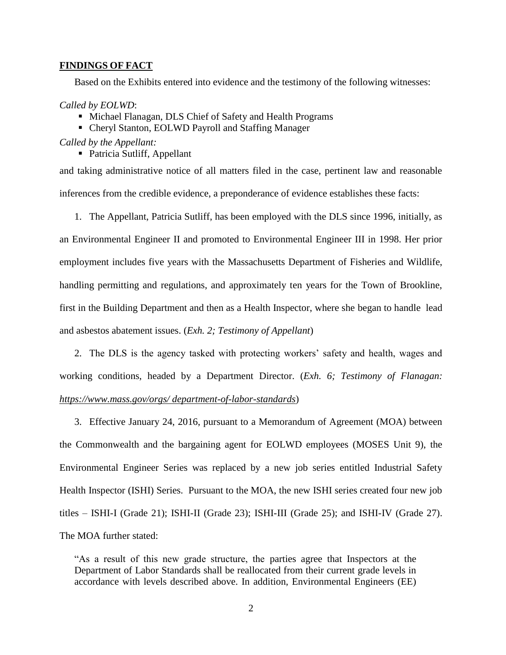### **FINDINGS OF FACT**

Based on the Exhibits entered into evidence and the testimony of the following witnesses:

### *Called by EOLWD*:

- Michael Flanagan, DLS Chief of Safety and Health Programs
- Cheryl Stanton, EOLWD Payroll and Staffing Manager

### *Called by the Appellant:*

• Patricia Sutliff, Appellant

and taking administrative notice of all matters filed in the case, pertinent law and reasonable inferences from the credible evidence, a preponderance of evidence establishes these facts:

1. The Appellant, Patricia Sutliff, has been employed with the DLS since 1996, initially, as an Environmental Engineer II and promoted to Environmental Engineer III in 1998. Her prior employment includes five years with the Massachusetts Department of Fisheries and Wildlife, handling permitting and regulations, and approximately ten years for the Town of Brookline, first in the Building Department and then as a Health Inspector, where she began to handle lead and asbestos abatement issues. (*Exh. 2; Testimony of Appellant*)

2. The DLS is the agency tasked with protecting workers' safety and health, wages and working conditions, headed by a Department Director. (*Exh. 6; Testimony of Flanagan: [https://www.mass.gov/orgs/ department-of-labor-standards](https://www.mass.gov/orgs/%20department-of-labor-standards)*)

3. Effective January 24, 2016, pursuant to a Memorandum of Agreement (MOA) between the Commonwealth and the bargaining agent for EOLWD employees (MOSES Unit 9), the Environmental Engineer Series was replaced by a new job series entitled Industrial Safety Health Inspector (ISHI) Series. Pursuant to the MOA, the new ISHI series created four new job titles – ISHI-I (Grade 21); ISHI-II (Grade 23); ISHI-III (Grade 25); and ISHI-IV (Grade 27). The MOA further stated:

"As a result of this new grade structure, the parties agree that Inspectors at the Department of Labor Standards shall be reallocated from their current grade levels in accordance with levels described above. In addition, Environmental Engineers (EE)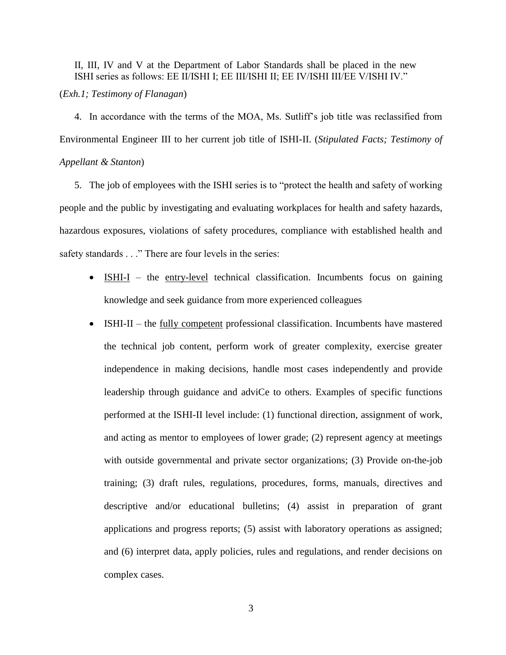II, III, IV and V at the Department of Labor Standards shall be placed in the new ISHI series as follows: EE II/ISHI I; EE III/ISHI II; EE IV/ISHI III/EE V/ISHI IV." (*Exh.1; Testimony of Flanagan*)

4. In accordance with the terms of the MOA, Ms. Sutliff's job title was reclassified from Environmental Engineer III to her current job title of ISHI-II. (*Stipulated Facts; Testimony of Appellant & Stanton*)

5. The job of employees with the ISHI series is to "protect the health and safety of working people and the public by investigating and evaluating workplaces for health and safety hazards, hazardous exposures, violations of safety procedures, compliance with established health and safety standards . . ." There are four levels in the series:

- ISHI-I the entry-level technical classification. Incumbents focus on gaining knowledge and seek guidance from more experienced colleagues
- ISHI-II the fully competent professional classification. Incumbents have mastered the technical job content, perform work of greater complexity, exercise greater independence in making decisions, handle most cases independently and provide leadership through guidance and adviCe to others. Examples of specific functions performed at the ISHI-II level include: (1) functional direction, assignment of work, and acting as mentor to employees of lower grade; (2) represent agency at meetings with outside governmental and private sector organizations; (3) Provide on-the-job training; (3) draft rules, regulations, procedures, forms, manuals, directives and descriptive and/or educational bulletins; (4) assist in preparation of grant applications and progress reports; (5) assist with laboratory operations as assigned; and (6) interpret data, apply policies, rules and regulations, and render decisions on complex cases.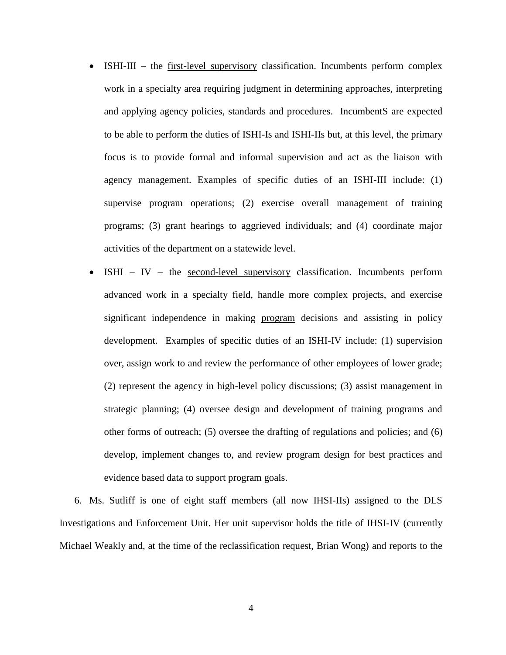- ISHI-III the first-level supervisory classification. Incumbents perform complex work in a specialty area requiring judgment in determining approaches, interpreting and applying agency policies, standards and procedures. IncumbentS are expected to be able to perform the duties of ISHI-Is and ISHI-IIs but, at this level, the primary focus is to provide formal and informal supervision and act as the liaison with agency management. Examples of specific duties of an ISHI-III include: (1) supervise program operations; (2) exercise overall management of training programs; (3) grant hearings to aggrieved individuals; and (4) coordinate major activities of the department on a statewide level.
- $\bullet$  ISHI IV the second-level supervisory classification. Incumbents perform advanced work in a specialty field, handle more complex projects, and exercise significant independence in making program decisions and assisting in policy development. Examples of specific duties of an ISHI-IV include: (1) supervision over, assign work to and review the performance of other employees of lower grade; (2) represent the agency in high-level policy discussions; (3) assist management in strategic planning; (4) oversee design and development of training programs and other forms of outreach; (5) oversee the drafting of regulations and policies; and (6) develop, implement changes to, and review program design for best practices and evidence based data to support program goals.

6. Ms. Sutliff is one of eight staff members (all now IHSI-IIs) assigned to the DLS Investigations and Enforcement Unit. Her unit supervisor holds the title of IHSI-IV (currently Michael Weakly and, at the time of the reclassification request, Brian Wong) and reports to the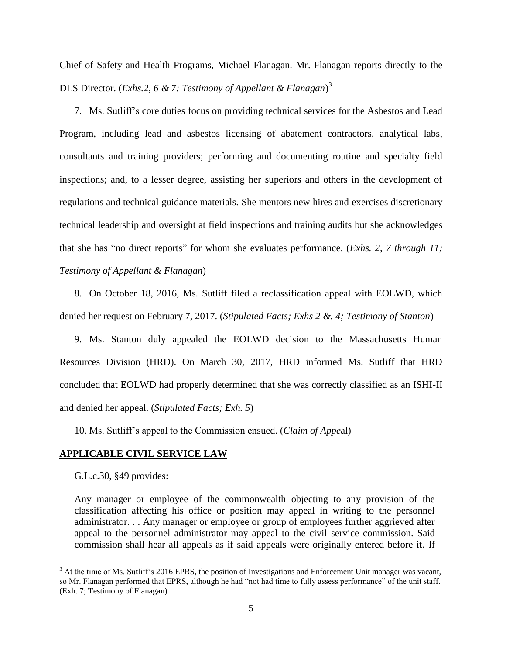Chief of Safety and Health Programs, Michael Flanagan. Mr. Flanagan reports directly to the DLS Director. (*Exhs.2, 6 & 7: Testimony of Appellant & Flanagan*) 3

7. Ms. Sutliff's core duties focus on providing technical services for the Asbestos and Lead Program, including lead and asbestos licensing of abatement contractors, analytical labs, consultants and training providers; performing and documenting routine and specialty field inspections; and, to a lesser degree, assisting her superiors and others in the development of regulations and technical guidance materials. She mentors new hires and exercises discretionary technical leadership and oversight at field inspections and training audits but she acknowledges that she has "no direct reports" for whom she evaluates performance. (*Exhs. 2, 7 through 11; Testimony of Appellant & Flanagan*)

8. On October 18, 2016, Ms. Sutliff filed a reclassification appeal with EOLWD, which denied her request on February 7, 2017. (*Stipulated Facts; Exhs 2 &. 4; Testimony of Stanton*)

9. Ms. Stanton duly appealed the EOLWD decision to the Massachusetts Human Resources Division (HRD). On March 30, 2017, HRD informed Ms. Sutliff that HRD concluded that EOLWD had properly determined that she was correctly classified as an ISHI-II and denied her appeal. (*Stipulated Facts; Exh. 5*)

10. Ms. Sutliff's appeal to the Commission ensued. (*Claim of Appe*al)

# **APPLICABLE CIVIL SERVICE LAW**

G.L.c.30, §49 provides:

 $\overline{a}$ 

Any manager or employee of the commonwealth objecting to any provision of the classification affecting his office or position may appeal in writing to the personnel administrator. . . Any manager or employee or group of employees further aggrieved after appeal to the personnel administrator may appeal to the civil service commission. Said commission shall hear all appeals as if said appeals were originally entered before it. If

 $3$  At the time of Ms. Sutliff's 2016 EPRS, the position of Investigations and Enforcement Unit manager was vacant, so Mr. Flanagan performed that EPRS, although he had "not had time to fully assess performance" of the unit staff. (Exh. 7; Testimony of Flanagan)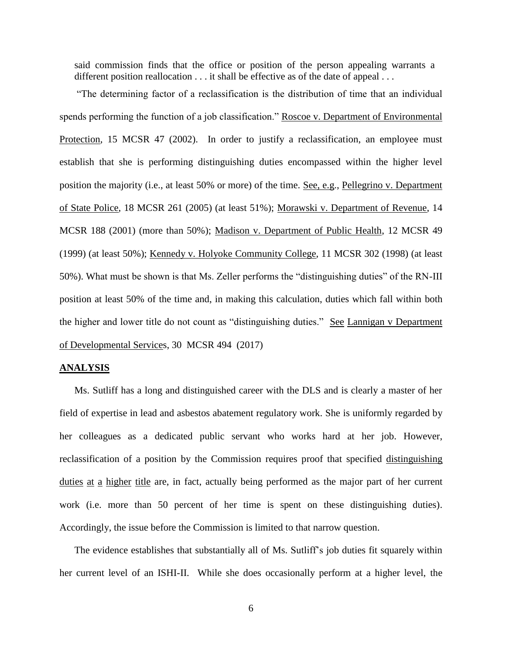said commission finds that the office or position of the person appealing warrants a different position reallocation . . . it shall be effective as of the date of appeal . . .

"The determining factor of a reclassification is the distribution of time that an individual spends performing the function of a job classification." Roscoe v. Department of Environmental Protection, 15 MCSR 47 (2002). In order to justify a reclassification, an employee must establish that she is performing distinguishing duties encompassed within the higher level position the majority (i.e., at least 50% or more) of the time. See, e.g., Pellegrino v. Department of State Police, 18 MCSR 261 (2005) (at least 51%); Morawski v. Department of Revenue, 14 MCSR 188 (2001) (more than 50%); Madison v. Department of Public Health, 12 MCSR 49 (1999) (at least 50%); Kennedy v. Holyoke Community College, 11 MCSR 302 (1998) (at least 50%). What must be shown is that Ms. Zeller performs the "distinguishing duties" of the RN-III position at least 50% of the time and, in making this calculation, duties which fall within both the higher and lower title do not count as "distinguishing duties." See Lannigan v Department of Developmental Services, 30 MCSR 494 (2017)

### **ANALYSIS**

Ms. Sutliff has a long and distinguished career with the DLS and is clearly a master of her field of expertise in lead and asbestos abatement regulatory work. She is uniformly regarded by her colleagues as a dedicated public servant who works hard at her job. However, reclassification of a position by the Commission requires proof that specified distinguishing duties at a higher title are, in fact, actually being performed as the major part of her current work (i.e. more than 50 percent of her time is spent on these distinguishing duties). Accordingly, the issue before the Commission is limited to that narrow question.

The evidence establishes that substantially all of Ms. Sutliff's job duties fit squarely within her current level of an ISHI-II. While she does occasionally perform at a higher level, the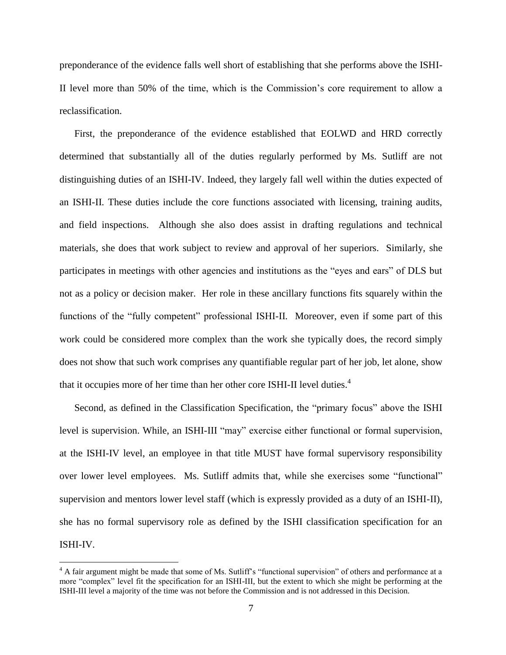preponderance of the evidence falls well short of establishing that she performs above the ISHI-II level more than 50% of the time, which is the Commission's core requirement to allow a reclassification.

First, the preponderance of the evidence established that EOLWD and HRD correctly determined that substantially all of the duties regularly performed by Ms. Sutliff are not distinguishing duties of an ISHI-IV. Indeed, they largely fall well within the duties expected of an ISHI-II. These duties include the core functions associated with licensing, training audits, and field inspections. Although she also does assist in drafting regulations and technical materials, she does that work subject to review and approval of her superiors. Similarly, she participates in meetings with other agencies and institutions as the "eyes and ears" of DLS but not as a policy or decision maker. Her role in these ancillary functions fits squarely within the functions of the "fully competent" professional ISHI-II. Moreover, even if some part of this work could be considered more complex than the work she typically does, the record simply does not show that such work comprises any quantifiable regular part of her job, let alone, show that it occupies more of her time than her other core ISHI-II level duties.<sup>4</sup>

Second, as defined in the Classification Specification, the "primary focus" above the ISHI level is supervision. While, an ISHI-III "may" exercise either functional or formal supervision, at the ISHI-IV level, an employee in that title MUST have formal supervisory responsibility over lower level employees. Ms. Sutliff admits that, while she exercises some "functional" supervision and mentors lower level staff (which is expressly provided as a duty of an ISHI-II), she has no formal supervisory role as defined by the ISHI classification specification for an ISHI-IV.

 $\overline{a}$ 

<sup>&</sup>lt;sup>4</sup> A fair argument might be made that some of Ms. Sutliff's "functional supervision" of others and performance at a more "complex" level fit the specification for an ISHI-III, but the extent to which she might be performing at the ISHI-III level a majority of the time was not before the Commission and is not addressed in this Decision.